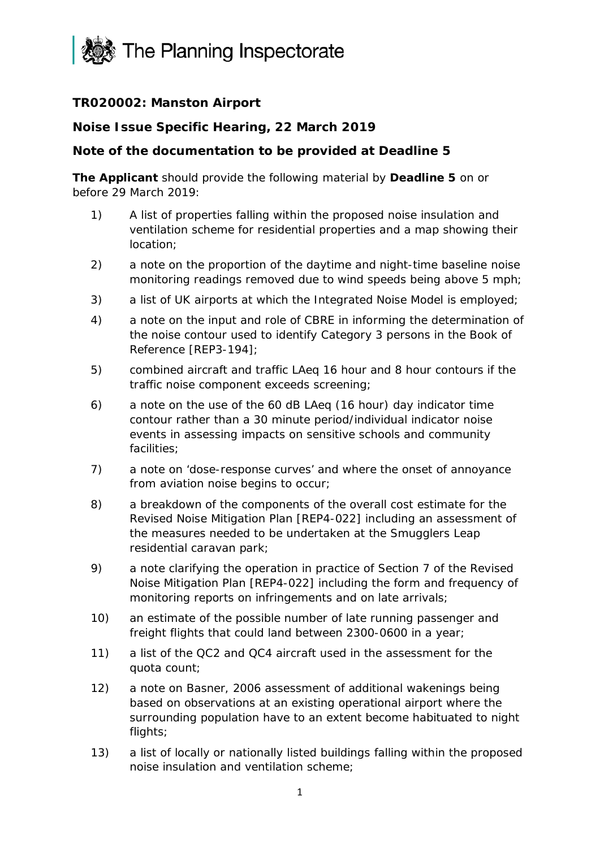

## **TR020002: Manston Airport**

## **Noise Issue Specific Hearing, 22 March 2019**

## **Note of the documentation to be provided at Deadline 5**

**The Applicant** should provide the following material by **Deadline 5** on or before 29 March 2019:

- 1) A list of properties falling within the proposed noise insulation and ventilation scheme for residential properties and a map showing their location;
- 2) a note on the proportion of the daytime and night-time baseline noise monitoring readings removed due to wind speeds being above 5 mph;
- 3) a list of UK airports at which the Integrated Noise Model is employed;
- 4) a note on the input and role of CBRE in informing the determination of the noise contour used to identify Category 3 persons in the Book of Reference [REP3-194];
- 5) combined aircraft and traffic LAeq 16 hour and 8 hour contours if the traffic noise component exceeds screening;
- 6) a note on the use of the 60 dB LAeq (16 hour) day indicator time contour rather than a 30 minute period/individual indicator noise events in assessing impacts on sensitive schools and community facilities;
- 7) a note on 'dose-response curves' and where the onset of annoyance from aviation noise begins to occur;
- 8) a breakdown of the components of the overall cost estimate for the Revised Noise Mitigation Plan [REP4-022] including an assessment of the measures needed to be undertaken at the Smugglers Leap residential caravan park;
- 9) a note clarifying the operation in practice of Section 7 of the Revised Noise Mitigation Plan [REP4-022] including the form and frequency of monitoring reports on infringements and on late arrivals;
- 10) an estimate of the possible number of late running passenger and freight flights that could land between 2300-0600 in a year;
- 11) a list of the QC2 and QC4 aircraft used in the assessment for the quota count;
- 12) a note on Basner, 2006 assessment of additional wakenings being based on observations at an existing operational airport where the surrounding population have to an extent become habituated to night flights;
- 13) a list of locally or nationally listed buildings falling within the proposed noise insulation and ventilation scheme;